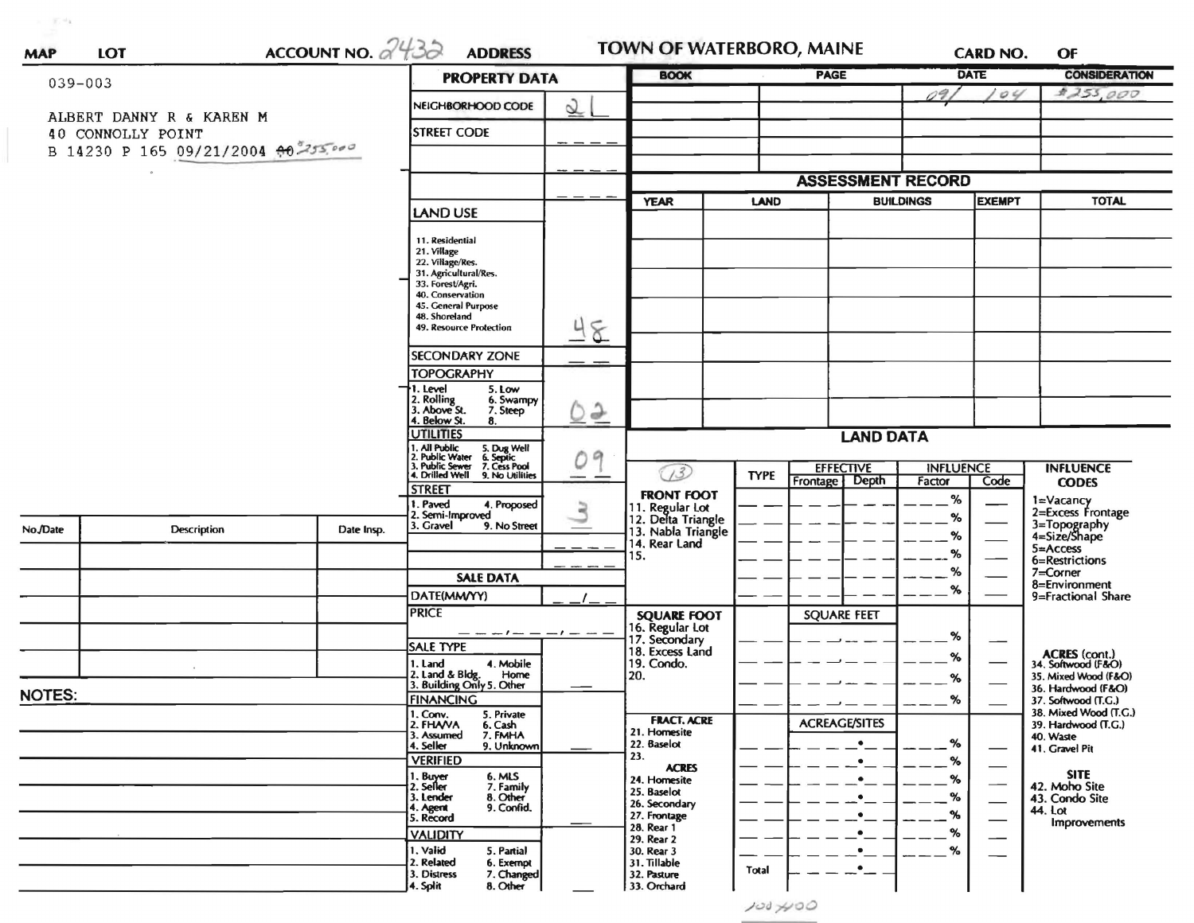|               |                                     |                                                                                                 | <b>PROPERTY DATA</b>                                 |                                    | <b>BOOK</b>                                                                  |             | <b>PAGE</b>              |                  | <b>DATE</b>              | <b>CONSIDERATION</b>                         |
|---------------|-------------------------------------|-------------------------------------------------------------------------------------------------|------------------------------------------------------|------------------------------------|------------------------------------------------------------------------------|-------------|--------------------------|------------------|--------------------------|----------------------------------------------|
| $039 - 003$   |                                     |                                                                                                 |                                                      |                                    |                                                                              |             |                          | 09.              | O <sub>4</sub>           | \$255,000                                    |
|               | ALBERT DANNY R & KAREN M            |                                                                                                 | NEIGHBORHOOD CODE                                    | $\underline{\underline{\Diamond}}$ |                                                                              |             |                          |                  |                          |                                              |
|               | 40 CONNOLLY POINT                   |                                                                                                 | <b>STREET CODE</b>                                   |                                    |                                                                              |             |                          |                  |                          |                                              |
|               | B 14230 P 165 09/21/2004 00 255,000 |                                                                                                 |                                                      |                                    |                                                                              |             |                          |                  |                          |                                              |
|               |                                     |                                                                                                 |                                                      |                                    |                                                                              |             |                          |                  |                          |                                              |
|               |                                     |                                                                                                 |                                                      |                                    |                                                                              |             | <b>ASSESSMENT RECORD</b> |                  |                          |                                              |
|               |                                     |                                                                                                 | <b>LAND USE</b>                                      |                                    | <b>YEAR</b>                                                                  | <b>LAND</b> |                          | <b>BUILDINGS</b> | <b>EXEMPT</b>            | <b>TOTAL</b>                                 |
|               |                                     |                                                                                                 | 11. Residential                                      |                                    |                                                                              |             |                          |                  |                          |                                              |
|               |                                     |                                                                                                 | 21. Village                                          |                                    |                                                                              |             |                          |                  |                          |                                              |
|               |                                     |                                                                                                 | 22. Village/Res.<br>31. Agricultural/Res.            |                                    |                                                                              |             |                          |                  |                          |                                              |
|               |                                     |                                                                                                 | 33. Forest/Agri.<br>40. Conservation                 |                                    |                                                                              |             |                          |                  |                          |                                              |
|               |                                     |                                                                                                 | 45. General Purpose<br>48. Shoreland                 |                                    |                                                                              |             |                          |                  |                          |                                              |
|               |                                     |                                                                                                 | 49. Resource Protection                              | 8                                  |                                                                              |             |                          |                  |                          |                                              |
|               |                                     |                                                                                                 | <b>SECONDARY ZONE</b>                                |                                    |                                                                              |             |                          |                  |                          |                                              |
|               |                                     |                                                                                                 | <b>TOPOGRAPHY</b>                                    |                                    |                                                                              |             |                          |                  |                          |                                              |
|               |                                     |                                                                                                 | 1. Level<br>5. Low                                   |                                    |                                                                              |             |                          |                  |                          |                                              |
|               |                                     |                                                                                                 | 2. Rolling<br>3. Above St.<br>6. Swampy<br>7. Steep  | $Q\geq$                            |                                                                              |             |                          |                  |                          |                                              |
|               |                                     |                                                                                                 | 4. Below St.<br>8.<br><b>UTILITIES</b>               |                                    |                                                                              |             |                          |                  |                          |                                              |
|               |                                     | 1. All Public<br>2. Public Water<br>3. Public Sewer<br>5. Dug Well<br>6. Septic<br>7. Cess Pool | 09                                                   | <b>LAND DATA</b>                   |                                                                              |             |                          |                  |                          |                                              |
|               |                                     | 4. Drilled Well 9. No Utilities                                                                 |                                                      | (73)                               | <b>EFFECTIVE</b><br><b>TYPE</b>                                              |             | <b>INFLUENCE</b>         |                  | <b>INFLUENCE</b>         |                                              |
|               |                                     |                                                                                                 | <b>STREET</b>                                        |                                    | <b>FRONT FOOT</b>                                                            |             | Frontage Depth           | Factor           | Code                     | <b>CODES</b>                                 |
|               |                                     |                                                                                                 | . Paved<br>4. Proposed<br>2. Semi-Improved           |                                    |                                                                              |             |                          | %                |                          | 1=Vacancy<br>2=Excess Frontage               |
| No./Date      | Description                         | Date Insp.                                                                                      | 3. Gravel<br>9. No Street                            |                                    | 11. Regular Lot<br>12. Delta Triangle<br>13. Nabla Triangle<br>14. Rear Land |             |                          | %<br>%           |                          | 3=Topography<br>4=Size/Shape                 |
|               |                                     |                                                                                                 |                                                      |                                    |                                                                              |             |                          | %                |                          | $5 =$ Access                                 |
|               |                                     |                                                                                                 |                                                      |                                    | 15.                                                                          |             |                          | %                |                          | 6=Restrictions<br>7=Corner                   |
|               |                                     |                                                                                                 | <b>SALE DATA</b>                                     |                                    |                                                                              |             |                          | %                |                          | 8=Environment                                |
|               |                                     |                                                                                                 | DATE(MM/YY)<br><b>PRICE</b>                          |                                    |                                                                              |             |                          |                  |                          | 9=Fractional Share                           |
|               |                                     |                                                                                                 |                                                      |                                    | <b>SQUARE FOOT</b><br>16. Regular Lot                                        |             | <b>SQUARE FEET</b>       |                  |                          |                                              |
|               |                                     |                                                                                                 | <b>SALE TYPE</b>                                     |                                    | 17. Secondary<br>18. Excess Land                                             |             |                          | %                |                          |                                              |
|               |                                     |                                                                                                 | 4. Mobile<br>I. Land                                 |                                    | 19. Condo.                                                                   |             |                          | %                |                          | <b>ACRES</b> (cont.)<br>34. Softwood (F&O)   |
|               |                                     |                                                                                                 | 2. Land & Bldg.<br>Home<br>3. Building Only 5. Other |                                    | 20.                                                                          |             |                          | %                |                          | 35. Mixed Wood (F&O)<br>36. Hardwood (F&O)   |
| <b>NOTES:</b> |                                     | <b>FINANCING</b>                                                                                |                                                      |                                    |                                                                              |             | %                        |                  | 37. Softwood (T.G.)      |                                              |
|               |                                     |                                                                                                 | 1. Conv.<br>5. Private<br>2. FHAVA<br>6. Cash        |                                    | <b>FRACT. ACRE</b>                                                           |             | <b>ACREAGE/SITES</b>     |                  |                          | 38. Mixed Wood (T.G.)<br>39. Hardwood (T.G.) |
|               |                                     |                                                                                                 | 7. FMHA<br>3. Assumed<br>9. Unknown<br>4. Seller     |                                    | 21. Homesite<br>22. Baselot                                                  |             | $\bullet$                | %                |                          | 40. Waste<br>41. Gravel Pit                  |
|               |                                     |                                                                                                 | <b>VERIFIED</b>                                      |                                    | 23.<br><b>ACRES</b>                                                          |             | $\bullet$                | %                |                          |                                              |
|               |                                     |                                                                                                 | 1. Buyer<br>6. MLS<br>2. Seller<br>7. Family         |                                    | 24. Homesite                                                                 |             | $\bullet$                | %                |                          | <b>SITE</b><br>42. Moho Site                 |
|               |                                     |                                                                                                 | 8. Other<br>3. Lender                                |                                    | 25. Baselot<br>26. Secondary                                                 |             | $\bullet$                | %                | $\overline{\phantom{a}}$ | 43. Condo Site                               |
|               |                                     |                                                                                                 | 9. Confid.<br>4. Agent<br>5. Record                  |                                    | 27. Frontage                                                                 |             | $\bullet$                |                  |                          | 44. Lot<br>Improvements                      |
|               |                                     |                                                                                                 | <b>VALIDITY</b>                                      |                                    | 28. Rear 1<br>29. Rear 2                                                     |             | ٠                        | %                |                          |                                              |
|               |                                     |                                                                                                 | 1. Valid<br>5. Partial<br>2. Related<br>6. Exempt    |                                    | 30. Rear 3<br>31. Tillable                                                   |             | $\bullet$                | $\%$             |                          |                                              |
|               |                                     |                                                                                                 | 7. Changed<br>3. Distress                            |                                    | 32. Pasture                                                                  | Total       | $\ddot{\phantom{a}}$     |                  |                          |                                              |
|               |                                     |                                                                                                 | 8. Other<br>4. Split                                 |                                    | 33. Orchard                                                                  |             |                          |                  |                          |                                              |

 $\tau = \frac{1}{2} \pi^{-1} \mathbf{k}$